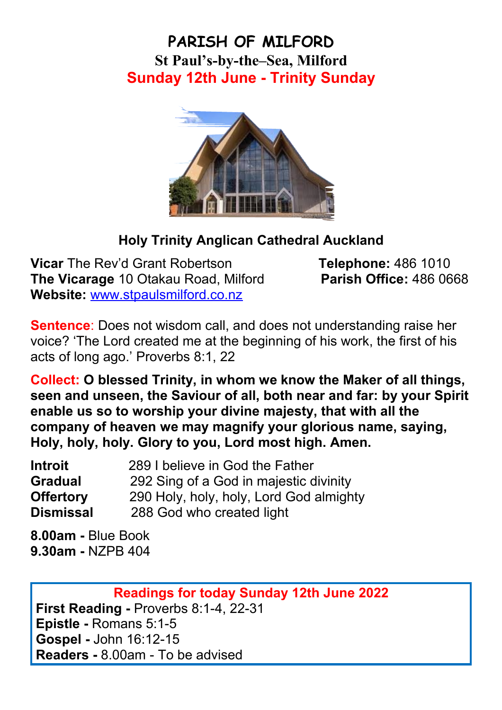# **PARISH OF MILFORD St Paul's-by-the–Sea, Milford Sunday 12th June - Trinity Sunday**



# **Holy Trinity Anglican Cathedral Auckland**

**Vicar** The Rev'd Grant Robertson **Telephone:** 486 1010 **The Vicarage** 10 Otakau Road, Milford **Parish Office:** 486 0668 **Website:** [www.stpaulsmilford.co.nz](http://www.stpaulsmilford.co.nz/)

**Sentence**: Does not wisdom call, and does not understanding raise her voice? 'The Lord created me at the beginning of his work, the first of his acts of long ago.' Proverbs 8:1, 22

**Collect: O blessed Trinity, in whom we know the Maker of all things, seen and unseen, the Saviour of all, both near and far: by your Spirit enable us so to worship your divine majesty, that with all the company of heaven we may magnify your glorious name, saying, Holy, holy, holy. Glory to you, Lord most high. Amen.**

| <b>Introit</b>   | 289 I believe in God the Father         |
|------------------|-----------------------------------------|
| <b>Gradual</b>   | 292 Sing of a God in majestic divinity  |
| <b>Offertory</b> | 290 Holy, holy, holy, Lord God almighty |
| <b>Dismissal</b> | 288 God who created light               |

**8.00am -** Blue Book **9.30am -** NZPB 404

#### **Readings for today Sunday 12th June 2022**

**First Reading -** Proverbs 8:1-4, 22-31 **Epistle -** Romans 5:1-5 **Gospel -** John 16:12-15 **Readers -** 8.00am - To be advised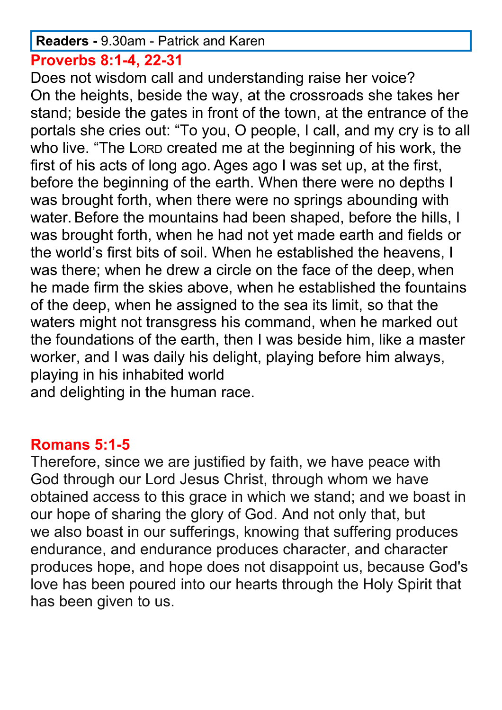#### **Readers -** 9.30am - Patrick and Karen

# **Proverbs 8:1-4, 22-31**

Does not wisdom call and understanding raise her voice? On the heights, beside the way, at the crossroads she takes her stand; beside the gates in front of the town, at the entrance of the portals she cries out: "To you, O people, I call, and my cry is to all who live. "The LORD created me at the beginning of his work, the first of his acts of long ago. Ages ago I was set up, at the first, before the beginning of the earth. When there were no depths I was brought forth, when there were no springs abounding with water. Before the mountains had been shaped, before the hills, I was brought forth, when he had not yet made earth and fields or the world's first bits of soil. When he established the heavens, I was there; when he drew a circle on the face of the deep, when he made firm the skies above, when he established the fountains of the deep, when he assigned to the sea its limit, so that the waters might not transgress his command, when he marked out the foundations of the earth, then I was beside him, like a master worker, and I was daily his delight, playing before him always, playing in his inhabited world and delighting in the human race.

### **Romans 5:1-5**

Therefore, since we are justified by faith, we have peace with God through our Lord Jesus Christ, through whom we have obtained access to this grace in which we stand; and we boast in our hope of sharing the glory of God. And not only that, but we also boast in our sufferings, knowing that suffering produces endurance, and endurance produces character, and character produces hope, and hope does not disappoint us, because God's love has been poured into our hearts through the Holy Spirit that has been given to us.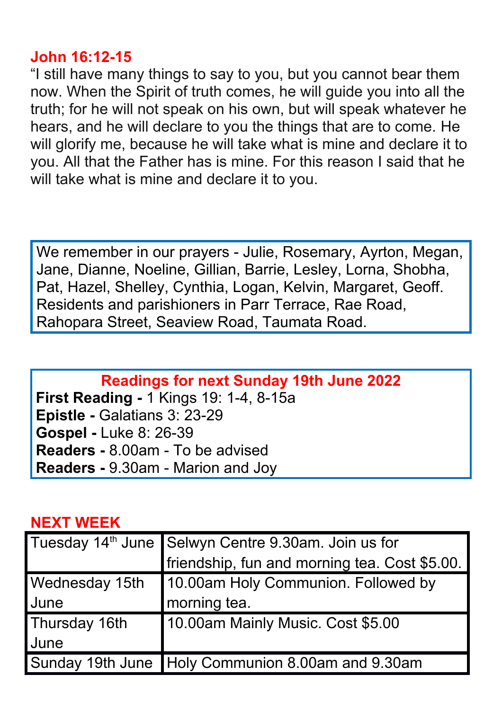# **John 16:12-15**

"I still have many things to say to you, but you cannot bear them now. When the Spirit of truth comes, he will guide you into all the truth; for he will not speak on his own, but will speak whatever he hears, and he will declare to you the things that are to come. He will glorify me, because he will take what is mine and declare it to you. All that the Father has is mine. For this reason I said that he will take what is mine and declare it to you.

We remember in our prayers - Julie, Rosemary, Ayrton, Megan, Jane, Dianne, Noeline, Gillian, Barrie, Lesley, Lorna, Shobha, Pat, Hazel, Shelley, Cynthia, Logan, Kelvin, Margaret, Geoff. Residents and parishioners in Parr Terrace, Rae Road, Rahopara Street, Seaview Road, Taumata Road.

**Readings for next Sunday 19th June 2022 First Reading -** 1 Kings 19: 1-4, 8-15a **Epistle -** Galatians 3: 23-29 **Gospel -** Luke 8: 26-39 **Readers -** 8.00am - To be advised **Readers -** 9.30am - Marion and Joy

### **NEXT WEEK**

|                       | Tuesday 14 <sup>th</sup> June Selwyn Centre 9.30am. Join us for<br>friendship, fun and morning tea. Cost \$5.00. |
|-----------------------|------------------------------------------------------------------------------------------------------------------|
|                       |                                                                                                                  |
| <b>Wednesday 15th</b> | 10.00am Holy Communion. Followed by                                                                              |
| June                  | morning tea.                                                                                                     |
| Thursday 16th         | 10.00am Mainly Music. Cost \$5.00                                                                                |
| June                  |                                                                                                                  |
|                       | Sunday 19th June   Holy Communion 8.00am and 9.30am                                                              |